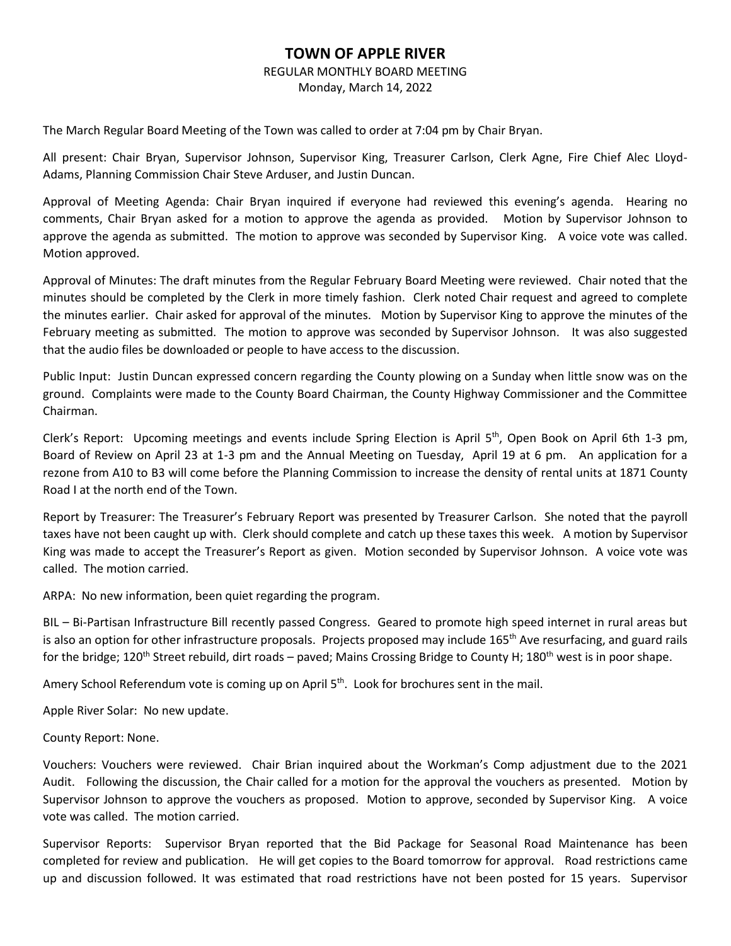### **TOWN OF APPLE RIVER**

#### REGULAR MONTHLY BOARD MEETING

Monday, March 14, 2022

The March Regular Board Meeting of the Town was called to order at 7:04 pm by Chair Bryan.

All present: Chair Bryan, Supervisor Johnson, Supervisor King, Treasurer Carlson, Clerk Agne, Fire Chief Alec Lloyd-Adams, Planning Commission Chair Steve Arduser, and Justin Duncan.

Approval of Meeting Agenda: Chair Bryan inquired if everyone had reviewed this evening's agenda. Hearing no comments, Chair Bryan asked for a motion to approve the agenda as provided. Motion by Supervisor Johnson to approve the agenda as submitted. The motion to approve was seconded by Supervisor King. A voice vote was called. Motion approved.

Approval of Minutes: The draft minutes from the Regular February Board Meeting were reviewed. Chair noted that the minutes should be completed by the Clerk in more timely fashion. Clerk noted Chair request and agreed to complete the minutes earlier. Chair asked for approval of the minutes. Motion by Supervisor King to approve the minutes of the February meeting as submitted. The motion to approve was seconded by Supervisor Johnson. It was also suggested that the audio files be downloaded or people to have access to the discussion.

Public Input: Justin Duncan expressed concern regarding the County plowing on a Sunday when little snow was on the ground. Complaints were made to the County Board Chairman, the County Highway Commissioner and the Committee Chairman.

Clerk's Report: Upcoming meetings and events include Spring Election is April 5<sup>th</sup>, Open Book on April 6th 1-3 pm, Board of Review on April 23 at 1-3 pm and the Annual Meeting on Tuesday, April 19 at 6 pm. An application for a rezone from A10 to B3 will come before the Planning Commission to increase the density of rental units at 1871 County Road I at the north end of the Town.

Report by Treasurer: The Treasurer's February Report was presented by Treasurer Carlson. She noted that the payroll taxes have not been caught up with. Clerk should complete and catch up these taxes this week. A motion by Supervisor King was made to accept the Treasurer's Report as given. Motion seconded by Supervisor Johnson. A voice vote was called. The motion carried.

ARPA: No new information, been quiet regarding the program.

BIL – Bi-Partisan Infrastructure Bill recently passed Congress. Geared to promote high speed internet in rural areas but is also an option for other infrastructure proposals. Projects proposed may include  $165<sup>th</sup>$  Ave resurfacing, and guard rails for the bridge; 120<sup>th</sup> Street rebuild, dirt roads – paved; Mains Crossing Bridge to County H; 180<sup>th</sup> west is in poor shape.

Amery School Referendum vote is coming up on April 5<sup>th</sup>. Look for brochures sent in the mail.

Apple River Solar: No new update.

County Report: None.

Vouchers: Vouchers were reviewed. Chair Brian inquired about the Workman's Comp adjustment due to the 2021 Audit. Following the discussion, the Chair called for a motion for the approval the vouchers as presented. Motion by Supervisor Johnson to approve the vouchers as proposed. Motion to approve, seconded by Supervisor King. A voice vote was called. The motion carried.

Supervisor Reports: Supervisor Bryan reported that the Bid Package for Seasonal Road Maintenance has been completed for review and publication. He will get copies to the Board tomorrow for approval. Road restrictions came up and discussion followed. It was estimated that road restrictions have not been posted for 15 years. Supervisor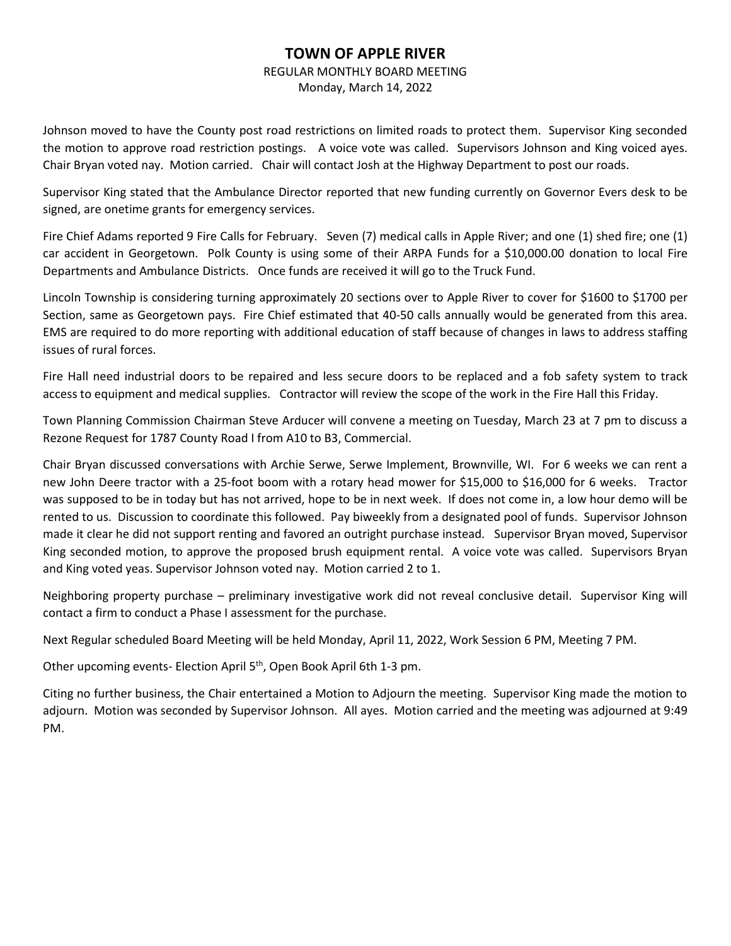## **TOWN OF APPLE RIVER**

#### REGULAR MONTHLY BOARD MEETING

Monday, March 14, 2022

Johnson moved to have the County post road restrictions on limited roads to protect them. Supervisor King seconded the motion to approve road restriction postings. A voice vote was called. Supervisors Johnson and King voiced ayes. Chair Bryan voted nay. Motion carried. Chair will contact Josh at the Highway Department to post our roads.

Supervisor King stated that the Ambulance Director reported that new funding currently on Governor Evers desk to be signed, are onetime grants for emergency services.

Fire Chief Adams reported 9 Fire Calls for February. Seven (7) medical calls in Apple River; and one (1) shed fire; one (1) car accident in Georgetown. Polk County is using some of their ARPA Funds for a \$10,000.00 donation to local Fire Departments and Ambulance Districts. Once funds are received it will go to the Truck Fund.

Lincoln Township is considering turning approximately 20 sections over to Apple River to cover for \$1600 to \$1700 per Section, same as Georgetown pays. Fire Chief estimated that 40-50 calls annually would be generated from this area. EMS are required to do more reporting with additional education of staff because of changes in laws to address staffing issues of rural forces.

Fire Hall need industrial doors to be repaired and less secure doors to be replaced and a fob safety system to track access to equipment and medical supplies. Contractor will review the scope of the work in the Fire Hall this Friday.

Town Planning Commission Chairman Steve Arducer will convene a meeting on Tuesday, March 23 at 7 pm to discuss a Rezone Request for 1787 County Road I from A10 to B3, Commercial.

Chair Bryan discussed conversations with Archie Serwe, Serwe Implement, Brownville, WI. For 6 weeks we can rent a new John Deere tractor with a 25-foot boom with a rotary head mower for \$15,000 to \$16,000 for 6 weeks. Tractor was supposed to be in today but has not arrived, hope to be in next week. If does not come in, a low hour demo will be rented to us. Discussion to coordinate this followed. Pay biweekly from a designated pool of funds. Supervisor Johnson made it clear he did not support renting and favored an outright purchase instead. Supervisor Bryan moved, Supervisor King seconded motion, to approve the proposed brush equipment rental. A voice vote was called. Supervisors Bryan and King voted yeas. Supervisor Johnson voted nay. Motion carried 2 to 1.

Neighboring property purchase – preliminary investigative work did not reveal conclusive detail. Supervisor King will contact a firm to conduct a Phase I assessment for the purchase.

Next Regular scheduled Board Meeting will be held Monday, April 11, 2022, Work Session 6 PM, Meeting 7 PM.

Other upcoming events- Election April 5th, Open Book April 6th 1-3 pm.

Citing no further business, the Chair entertained a Motion to Adjourn the meeting. Supervisor King made the motion to adjourn. Motion was seconded by Supervisor Johnson. All ayes. Motion carried and the meeting was adjourned at 9:49 PM.